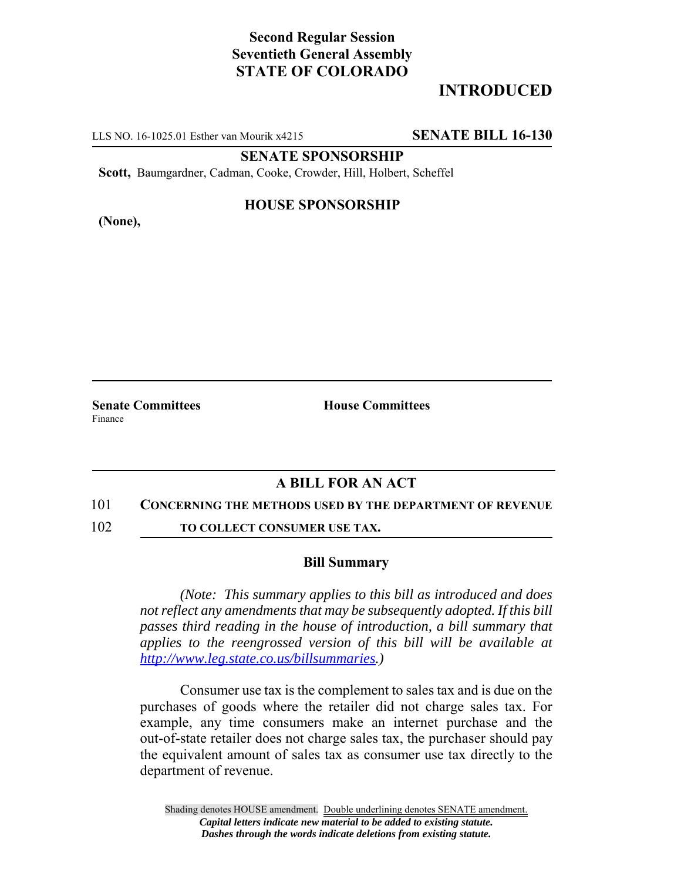## **Second Regular Session Seventieth General Assembly STATE OF COLORADO**

# **INTRODUCED**

LLS NO. 16-1025.01 Esther van Mourik x4215 **SENATE BILL 16-130**

**SENATE SPONSORSHIP**

**Scott,** Baumgardner, Cadman, Cooke, Crowder, Hill, Holbert, Scheffel

**(None),**

### **HOUSE SPONSORSHIP**

**Senate Committees House Committees** Finance

### **A BILL FOR AN ACT**

#### 101 **CONCERNING THE METHODS USED BY THE DEPARTMENT OF REVENUE**

102 **TO COLLECT CONSUMER USE TAX.**

#### **Bill Summary**

*(Note: This summary applies to this bill as introduced and does not reflect any amendments that may be subsequently adopted. If this bill passes third reading in the house of introduction, a bill summary that applies to the reengrossed version of this bill will be available at http://www.leg.state.co.us/billsummaries.)*

Consumer use tax is the complement to sales tax and is due on the purchases of goods where the retailer did not charge sales tax. For example, any time consumers make an internet purchase and the out-of-state retailer does not charge sales tax, the purchaser should pay the equivalent amount of sales tax as consumer use tax directly to the department of revenue.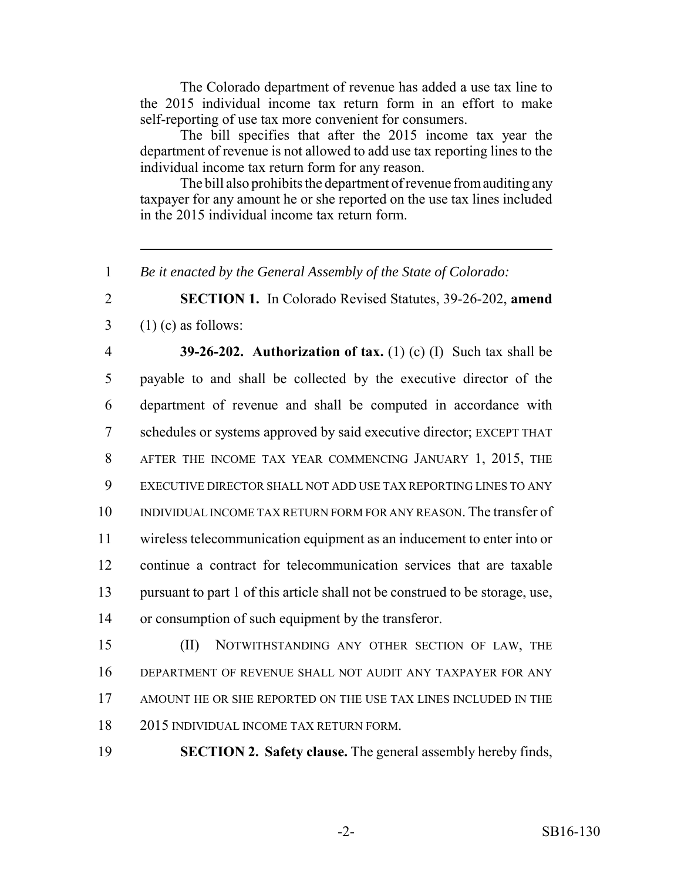The Colorado department of revenue has added a use tax line to the 2015 individual income tax return form in an effort to make self-reporting of use tax more convenient for consumers.

The bill specifies that after the 2015 income tax year the department of revenue is not allowed to add use tax reporting lines to the individual income tax return form for any reason.

The bill also prohibits the department of revenue from auditing any taxpayer for any amount he or she reported on the use tax lines included in the 2015 individual income tax return form.

*Be it enacted by the General Assembly of the State of Colorado:*

 **SECTION 1.** In Colorado Revised Statutes, 39-26-202, **amend**  $3 \quad (1)$  (c) as follows:

 **39-26-202. Authorization of tax.** (1) (c) (I) Such tax shall be payable to and shall be collected by the executive director of the department of revenue and shall be computed in accordance with schedules or systems approved by said executive director; EXCEPT THAT AFTER THE INCOME TAX YEAR COMMENCING JANUARY 1, 2015, THE EXECUTIVE DIRECTOR SHALL NOT ADD USE TAX REPORTING LINES TO ANY INDIVIDUAL INCOME TAX RETURN FORM FOR ANY REASON. The transfer of wireless telecommunication equipment as an inducement to enter into or continue a contract for telecommunication services that are taxable pursuant to part 1 of this article shall not be construed to be storage, use, or consumption of such equipment by the transferor.

 (II) NOTWITHSTANDING ANY OTHER SECTION OF LAW, THE DEPARTMENT OF REVENUE SHALL NOT AUDIT ANY TAXPAYER FOR ANY AMOUNT HE OR SHE REPORTED ON THE USE TAX LINES INCLUDED IN THE 2015 INDIVIDUAL INCOME TAX RETURN FORM.

**SECTION 2. Safety clause.** The general assembly hereby finds,